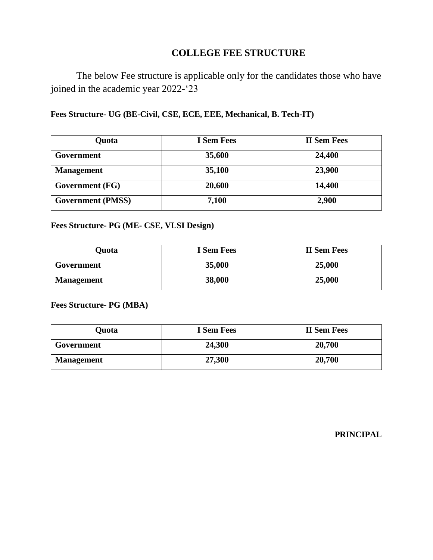## **COLLEGE FEE STRUCTURE**

The below Fee structure is applicable only for the candidates those who have joined in the academic year 2022-'23

**Fees Structure- UG (BE-Civil, CSE, ECE, EEE, Mechanical, B. Tech-IT)**

| Quota                    | <b>I</b> Sem Fees | <b>II Sem Fees</b> |
|--------------------------|-------------------|--------------------|
| Government               | 35,600            | 24,400             |
| <b>Management</b>        | 35,100            | 23,900             |
| Government (FG)          | 20,600            | 14,400             |
| <b>Government</b> (PMSS) | 7,100             | 2,900              |

**Fees Structure- PG (ME- CSE, VLSI Design)**

| Quota             | <b>I</b> Sem Fees | <b>II Sem Fees</b> |
|-------------------|-------------------|--------------------|
| Government        | 35,000            | 25,000             |
| <b>Management</b> | 38,000            | 25,000             |

**Fees Structure- PG (MBA)**

| Ouota             | <b>I</b> Sem Fees | <b>II Sem Fees</b> |
|-------------------|-------------------|--------------------|
| Government        | 24,300            | 20,700             |
| <b>Management</b> | 27,300            | 20,700             |

**PRINCIPAL**